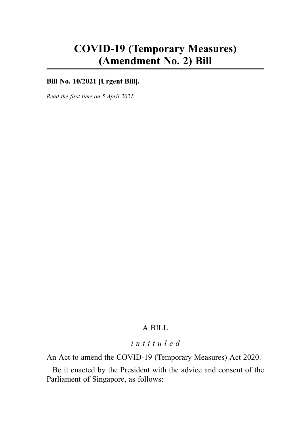# COVID-19 (Temporary Measures) (Amendment No. 2) Bill

### Bill No. 10/2021 **[Urgent Bill]**.

Read the first time on 5 April 2021.

## A BILL

## intituled

An Act to amend the COVID-19 (Temporary Measures) Act 2020.

Be it enacted by the President with the advice and consent of the Parliament of Singapore, as follows: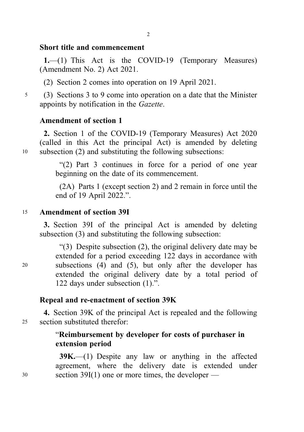## Short title and commencement

1.—(1) This Act is the COVID-19 (Temporary Measures) (Amendment No. 2) Act 2021.

(2) Section 2 comes into operation on 19 April 2021.

<sup>5</sup> (3) Sections 3 to 9 come into operation on a date that the Minister appoints by notification in the Gazette.

## Amendment of section 1

2. Section 1 of the COVID-19 (Temporary Measures) Act 2020 (called in this Act the principal Act) is amended by deleting <sup>10</sup> subsection (2) and substituting the following subsections:

> "(2) Part 3 continues in force for a period of one year beginning on the date of its commencement.

> (2A) Parts 1 (except section 2) and 2 remain in force until the end of 19 April 2022.".

#### <sup>15</sup> Amendment of section 39I

3. Section 39I of the principal Act is amended by deleting subsection (3) and substituting the following subsection:

"(3) Despite subsection (2), the original delivery date may be extended for a period exceeding 122 days in accordance with <sup>20</sup> subsections (4) and (5), but only after the developer has extended the original delivery date by a total period of 122 days under subsection (1).".

#### Repeal and re-enactment of section 39K

4. Section 39K of the principal Act is repealed and the following <sup>25</sup> section substituted therefor:

## "Reimbursement by developer for costs of purchaser in extension period

39K.—(1) Despite any law or anything in the affected agreement, where the delivery date is extended under <sup>30</sup> section 39I(1) one or more times, the developer —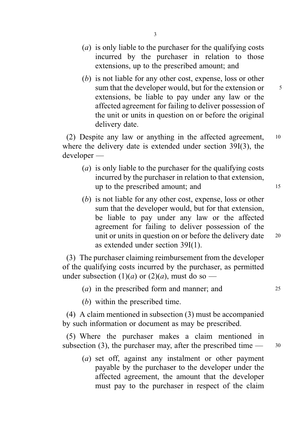- (a) is only liable to the purchaser for the qualifying costs incurred by the purchaser in relation to those extensions, up to the prescribed amount; and
- (b) is not liable for any other cost, expense, loss or other sum that the developer would, but for the extension or  $\frac{5}{5}$ extensions, be liable to pay under any law or the affected agreement for failing to deliver possession of the unit or units in question on or before the original delivery date.

(2) Despite any law or anything in the affected agreement, <sup>10</sup> where the delivery date is extended under section 39I(3), the developer —

- (a) is only liable to the purchaser for the qualifying costs incurred by the purchaser in relation to that extension, up to the prescribed amount; and 15
- (b) is not liable for any other cost, expense, loss or other sum that the developer would, but for that extension, be liable to pay under any law or the affected agreement for failing to deliver possession of the unit or units in question on or before the delivery date 20 as extended under section 39I(1).

(3) The purchaser claiming reimbursement from the developer of the qualifying costs incurred by the purchaser, as permitted under subsection  $(1)(a)$  or  $(2)(a)$ , must do so —

- $(a)$  in the prescribed form and manner; and  $25$
- (b) within the prescribed time.

(4) A claim mentioned in subsection (3) must be accompanied by such information or document as may be prescribed.

(5) Where the purchaser makes a claim mentioned in subsection (3), the purchaser may, after the prescribed time  $\frac{30}{2}$ 

(a) set off, against any instalment or other payment payable by the purchaser to the developer under the affected agreement, the amount that the developer must pay to the purchaser in respect of the claim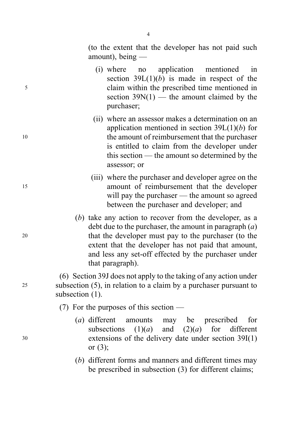(to the extent that the developer has not paid such amount), being —

- (i) where no application mentioned in section  $39L(1)(b)$  is made in respect of the <sup>5</sup> claim within the prescribed time mentioned in section  $39N(1)$  — the amount claimed by the purchaser;
- (ii) where an assessor makes a determination on an application mentioned in section  $39L(1)(b)$  for <sup>10</sup> the amount of reimbursement that the purchaser is entitled to claim from the developer under this section — the amount so determined by the assessor; or
- (iii) where the purchaser and developer agree on the <sup>15</sup> amount of reimbursement that the developer will pay the purchaser — the amount so agreed between the purchaser and developer; and
- (b) take any action to recover from the developer, as a debt due to the purchaser, the amount in paragraph  $(a)$ <sup>20</sup> that the developer must pay to the purchaser (to the extent that the developer has not paid that amount, and less any set-off effected by the purchaser under that paragraph).

(6) Section 39J does not apply to the taking of any action under <sup>25</sup> subsection (5), in relation to a claim by a purchaser pursuant to subsection (1).

(7) For the purposes of this section —

- (a) different amounts may be prescribed for subsections  $(1)(a)$  and  $(2)(a)$  for different <sup>30</sup> extensions of the delivery date under section 39I(1) or (3);
	- (b) different forms and manners and different times may be prescribed in subsection (3) for different claims;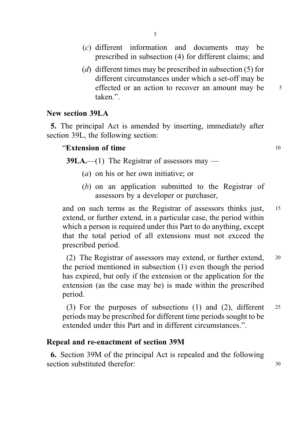- (c) different information and documents may be prescribed in subsection (4) for different claims; and
- (d) different times may be prescribed in subsection (5) for different circumstances under which a set-off may be effected or an action to recover an amount may be 5 taken"

## New section 39LA

5. The principal Act is amended by inserting, immediately after section 39L, the following section:

## "Extension of time 10

39LA.—(1) The Registrar of assessors may —

- (a) on his or her own initiative; or
- (b) on an application submitted to the Registrar of assessors by a developer or purchaser,

and on such terms as the Registrar of assessors thinks just, <sup>15</sup> extend, or further extend, in a particular case, the period within which a person is required under this Part to do anything, except that the total period of all extensions must not exceed the prescribed period.

(2) The Registrar of assessors may extend, or further extend, <sup>20</sup> the period mentioned in subsection (1) even though the period has expired, but only if the extension or the application for the extension (as the case may be) is made within the prescribed period.

(3) For the purposes of subsections (1) and (2), different <sup>25</sup> periods may be prescribed for different time periods sought to be extended under this Part and in different circumstances.".

## Repeal and re-enactment of section 39M

6. Section 39M of the principal Act is repealed and the following section substituted therefor:  $\frac{30}{20}$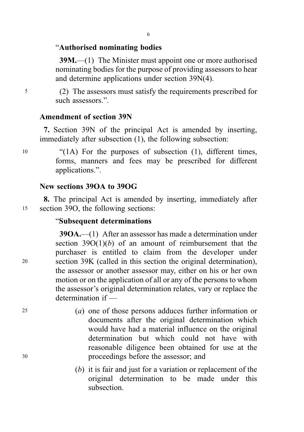## "Authorised nominating bodies

39M.—(1) The Minister must appoint one or more authorised nominating bodies for the purpose of providing assessors to hear and determine applications under section 39N(4).

<sup>5</sup> (2) The assessors must satisfy the requirements prescribed for such assessors.".

## Amendment of section 39N

7. Section 39N of the principal Act is amended by inserting, immediately after subsection (1), the following subsection:

<sup>10</sup> "(1A) For the purposes of subsection (1), different times, forms, manners and fees may be prescribed for different applications.".

## New sections 39OA to 39OG

8. The principal Act is amended by inserting, immediately after <sup>15</sup> section 39O, the following sections:

### "Subsequent determinations

39OA.—(1) After an assessor has made a determination under section  $39O(1)(b)$  of an amount of reimbursement that the purchaser is entitled to claim from the developer under <sup>20</sup> section 39K (called in this section the original determination), the assessor or another assessor may, either on his or her own motion or on the application of all or any of the persons to whom the assessor's original determination relates, vary or replace the determination if —

- <sup>25</sup> (a) one of those persons adduces further information or documents after the original determination which would have had a material influence on the original determination but which could not have with reasonable diligence been obtained for use at the <sup>30</sup> proceedings before the assessor; and
	- (b) it is fair and just for a variation or replacement of the original determination to be made under this subsection.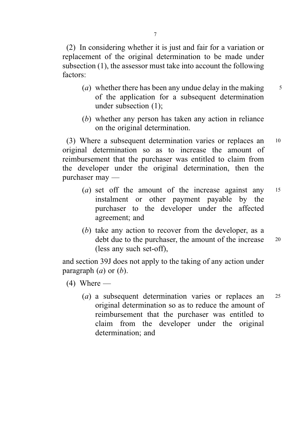(2) In considering whether it is just and fair for a variation or replacement of the original determination to be made under subsection (1), the assessor must take into account the following factors:

- (*a*) whether there has been any undue delay in the making  $\frac{5}{5}$ of the application for a subsequent determination under subsection (1);
- (b) whether any person has taken any action in reliance on the original determination.

(3) Where a subsequent determination varies or replaces an <sup>10</sup> original determination so as to increase the amount of reimbursement that the purchaser was entitled to claim from the developer under the original determination, then the purchaser may —

- (a) set off the amount of the increase against any  $15$ instalment or other payment payable by the purchaser to the developer under the affected agreement; and
- (b) take any action to recover from the developer, as a debt due to the purchaser, the amount of the increase 20 (less any such set-off),

and section 39J does not apply to the taking of any action under paragraph  $(a)$  or  $(b)$ .

- $(4)$  Where
	- (*a*) a subsequent determination varies or replaces an <sup>25</sup> original determination so as to reduce the amount of reimbursement that the purchaser was entitled to claim from the developer under the original determination; and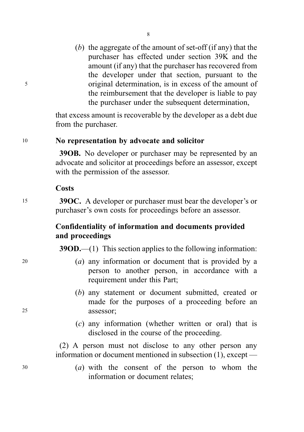(b) the aggregate of the amount of set-off (if any) that the purchaser has effected under section 39K and the amount (if any) that the purchaser has recovered from the developer under that section, pursuant to the <sup>5</sup> original determination, is in excess of the amount of the reimbursement that the developer is liable to pay the purchaser under the subsequent determination.

> that excess amount is recoverable by the developer as a debt due from the purchaser.

#### <sup>10</sup> No representation by advocate and solicitor

39OB. No developer or purchaser may be represented by an advocate and solicitor at proceedings before an assessor, except with the permission of the assessor.

#### **Costs**

15 39 OC. A developer or purchaser must bear the developer's or purchaser's own costs for proceedings before an assessor.

## Confidentiality of information and documents provided and proceedings

39OD.—(1) This section applies to the following information:

- <sup>20</sup> (a) any information or document that is provided by a person to another person, in accordance with a requirement under this Part;
- (b) any statement or document submitted, created or made for the purposes of a proceeding before an <sup>25</sup> assessor;
	- (c) any information (whether written or oral) that is disclosed in the course of the proceeding.

(2) A person must not disclose to any other person any information or document mentioned in subsection (1), except —

<sup>30</sup> (a) with the consent of the person to whom the information or document relates;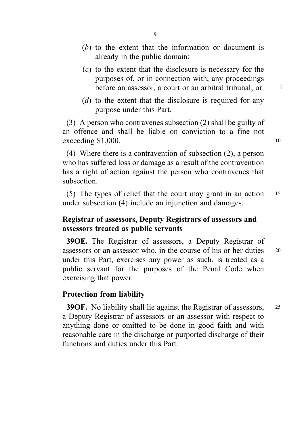- (b) to the extent that the information or document is already in the public domain;
- (c) to the extent that the disclosure is necessary for the purposes of, or in connection with, any proceedings before an assessor, a court or an arbitral tribunal; or  $\frac{5}{5}$
- (d) to the extent that the disclosure is required for any purpose under this Part.

(3) A person who contravenes subsection (2) shall be guilty of an offence and shall be liable on conviction to a fine not  $exceeding $1,000.$  10

(4) Where there is a contravention of subsection (2), a person who has suffered loss or damage as a result of the contravention has a right of action against the person who contravenes that subsection.

(5) The types of relief that the court may grant in an action <sup>15</sup> under subsection (4) include an injunction and damages.

## Registrar of assessors, Deputy Registrars of assessors and assessors treated as public servants

39OE. The Registrar of assessors, a Deputy Registrar of assessors or an assessor who, in the course of his or her duties <sup>20</sup> under this Part, exercises any power as such, is treated as a public servant for the purposes of the Penal Code when exercising that power.

### Protection from liability

39OF. No liability shall lie against the Registrar of assessors, <sup>25</sup> a Deputy Registrar of assessors or an assessor with respect to anything done or omitted to be done in good faith and with reasonable care in the discharge or purported discharge of their functions and duties under this Part.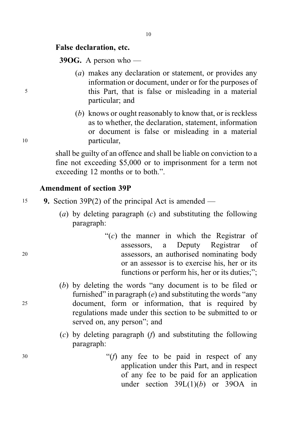**39OG.** A person who —

- (a) makes any declaration or statement, or provides any information or document, under or for the purposes of <sup>5</sup> this Part, that is false or misleading in a material particular; and
- (b) knows or ought reasonably to know that, or is reckless as to whether, the declaration, statement, information or document is false or misleading in a material <sup>10</sup> particular,

shall be guilty of an offence and shall be liable on conviction to a fine not exceeding \$5,000 or to imprisonment for a term not exceeding 12 months or to both.".

## Amendment of section 39P

- <sup>15</sup> 9. Section 39P(2) of the principal Act is amended
	- (a) by deleting paragraph  $(c)$  and substituting the following paragraph:
- " $(c)$  the manner in which the Registrar of assessors, a Deputy Registrar of <sup>20</sup> assessors, an authorised nominating body or an assessor is to exercise his, her or its functions or perform his, her or its duties;";
- (b) by deleting the words "any document is to be filed or furnished" in paragraph  $(e)$  and substituting the words "any" <sup>25</sup> document, form or information, that is required by regulations made under this section to be submitted to or served on, any person"; and
	- (c) by deleting paragraph  $(f)$  and substituting the following paragraph:
- $30$  "(f) any fee to be paid in respect of any application under this Part, and in respect of any fee to be paid for an application under section  $39L(1)(b)$  or  $39OA$  in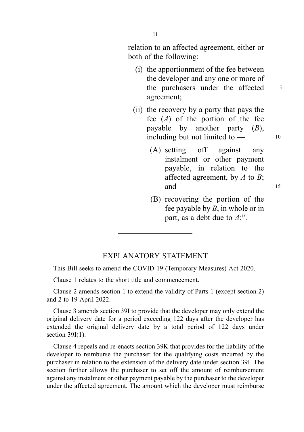relation to an affected agreement, either or both of the following:

- (i) the apportionment of the fee between the developer and any one or more of the purchasers under the affected  $5$ agreement;
- (ii) the recovery by a party that pays the fee  $(A)$  of the portion of the fee payable by another party  $(B)$ , including but not limited to  $-$  10
	- (A) setting off against any instalment or other payment payable, in relation to the affected agreement, by  $A$  to  $B$ ; and 15
	- (B) recovering the portion of the fee payable by  $B$ , in whole or in part, as a debt due to  $A$ ;".

#### EXPLANATORY STATEMENT

This Bill seeks to amend the COVID-19 (Temporary Measures) Act 2020.

Clause 1 relates to the short title and commencement.

Clause 2 amends section 1 to extend the validity of Parts 1 (except section 2) and 2 to 19 April 2022.

Clause 3 amends section 39I to provide that the developer may only extend the original delivery date for a period exceeding 122 days after the developer has extended the original delivery date by a total period of 122 days under section  $39I(1)$ .

Clause 4 repeals and re-enacts section 39K that provides for the liability of the developer to reimburse the purchaser for the qualifying costs incurred by the purchaser in relation to the extension of the delivery date under section 39I. The section further allows the purchaser to set off the amount of reimbursement against any instalment or other payment payable by the purchaser to the developer under the affected agreement. The amount which the developer must reimburse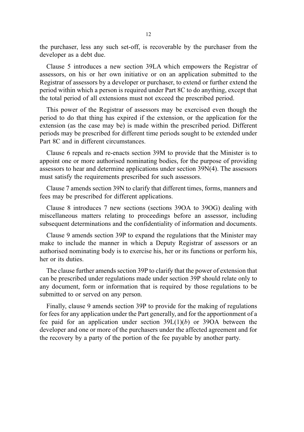the purchaser, less any such set-off, is recoverable by the purchaser from the developer as a debt due.

Clause 5 introduces a new section 39LA which empowers the Registrar of assessors, on his or her own initiative or on an application submitted to the Registrar of assessors by a developer or purchaser, to extend or further extend the period within which a person is required under Part 8C to do anything, except that the total period of all extensions must not exceed the prescribed period.

This power of the Registrar of assessors may be exercised even though the period to do that thing has expired if the extension, or the application for the extension (as the case may be) is made within the prescribed period. Different periods may be prescribed for different time periods sought to be extended under Part 8C and in different circumstances.

Clause 6 repeals and re-enacts section 39M to provide that the Minister is to appoint one or more authorised nominating bodies, for the purpose of providing assessors to hear and determine applications under section 39N(4). The assessors must satisfy the requirements prescribed for such assessors.

Clause 7 amends section 39N to clarify that different times, forms, manners and fees may be prescribed for different applications.

Clause 8 introduces 7 new sections (sections 39OA to 39OG) dealing with miscellaneous matters relating to proceedings before an assessor, including subsequent determinations and the confidentiality of information and documents.

Clause 9 amends section 39P to expand the regulations that the Minister may make to include the manner in which a Deputy Registrar of assessors or an authorised nominating body is to exercise his, her or its functions or perform his, her or its duties.

The clause further amends section 39P to clarify that the power of extension that can be prescribed under regulations made under section 39P should relate only to any document, form or information that is required by those regulations to be submitted to or served on any person.

Finally, clause 9 amends section 39P to provide for the making of regulations for fees for any application under the Part generally, and for the apportionment of a fee paid for an application under section  $39L(1)(b)$  or 390A between the developer and one or more of the purchasers under the affected agreement and for the recovery by a party of the portion of the fee payable by another party.